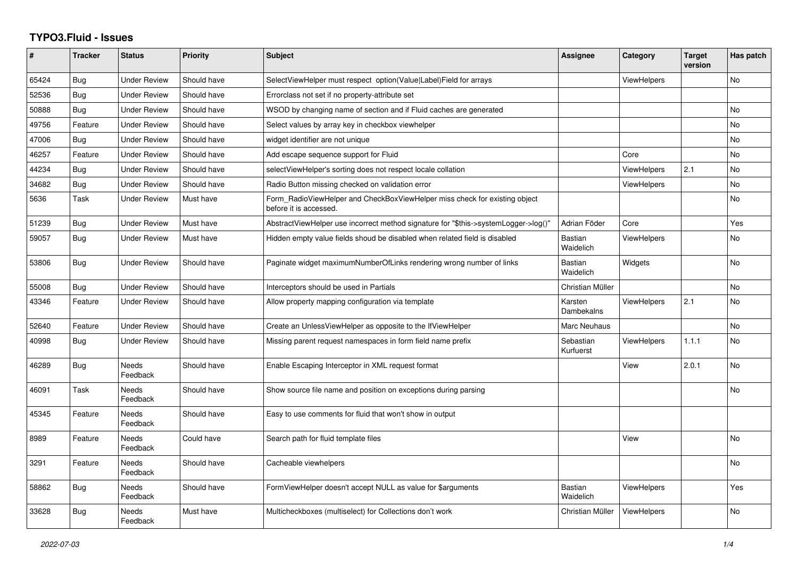## **TYPO3.Fluid - Issues**

| #     | <b>Tracker</b> | <b>Status</b>            | <b>Priority</b> | <b>Subject</b>                                                                                       | Assignee                    | Category           | <b>Target</b><br>version | Has patch      |
|-------|----------------|--------------------------|-----------------|------------------------------------------------------------------------------------------------------|-----------------------------|--------------------|--------------------------|----------------|
| 65424 | <b>Bug</b>     | <b>Under Review</b>      | Should have     | SelectViewHelper must respect option(Value Label)Field for arrays                                    |                             | <b>ViewHelpers</b> |                          | No             |
| 52536 | Bug            | Under Review             | Should have     | Errorclass not set if no property-attribute set                                                      |                             |                    |                          |                |
| 50888 | <b>Bug</b>     | <b>Under Review</b>      | Should have     | WSOD by changing name of section and if Fluid caches are generated                                   |                             |                    |                          | <b>No</b>      |
| 49756 | Feature        | Under Review             | Should have     | Select values by array key in checkbox viewhelper                                                    |                             |                    |                          | <b>No</b>      |
| 47006 | <b>Bug</b>     | Under Review             | Should have     | widget identifier are not unique                                                                     |                             |                    |                          | <b>No</b>      |
| 46257 | Feature        | <b>Under Review</b>      | Should have     | Add escape sequence support for Fluid                                                                |                             | Core               |                          | <b>No</b>      |
| 44234 | <b>Bug</b>     | <b>Under Review</b>      | Should have     | selectViewHelper's sorting does not respect locale collation                                         |                             | <b>ViewHelpers</b> | 2.1                      | <b>No</b>      |
| 34682 | Bug            | Under Review             | Should have     | Radio Button missing checked on validation error                                                     |                             | ViewHelpers        |                          | N <sub>o</sub> |
| 5636  | Task           | Under Review             | Must have       | Form RadioViewHelper and CheckBoxViewHelper miss check for existing object<br>before it is accessed. |                             |                    |                          | <b>No</b>      |
| 51239 | Bug            | <b>Under Review</b>      | Must have       | AbstractViewHelper use incorrect method signature for "\$this->systemLogger->log()"                  | Adrian Föder                | Core               |                          | Yes            |
| 59057 | <b>Bug</b>     | <b>Under Review</b>      | Must have       | Hidden empty value fields shoud be disabled when related field is disabled                           | Bastian<br>Waidelich        | <b>ViewHelpers</b> |                          | <b>No</b>      |
| 53806 | Bug            | <b>Under Review</b>      | Should have     | Paginate widget maximumNumberOfLinks rendering wrong number of links                                 | <b>Bastian</b><br>Waidelich | Widgets            |                          | <b>No</b>      |
| 55008 | <b>Bug</b>     | Under Review             | Should have     | Interceptors should be used in Partials                                                              | Christian Müller            |                    |                          | No             |
| 43346 | Feature        | <b>Under Review</b>      | Should have     | Allow property mapping configuration via template                                                    | Karsten<br>Dambekalns       | <b>ViewHelpers</b> | 2.1                      | <b>No</b>      |
| 52640 | Feature        | <b>Under Review</b>      | Should have     | Create an UnlessViewHelper as opposite to the IfViewHelper                                           | Marc Neuhaus                |                    |                          | <b>No</b>      |
| 40998 | <b>Bug</b>     | <b>Under Review</b>      | Should have     | Missing parent request namespaces in form field name prefix                                          | Sebastian<br>Kurfuerst      | <b>ViewHelpers</b> | 1.1.1                    | <b>No</b>      |
| 46289 | <b>Bug</b>     | <b>Needs</b><br>Feedback | Should have     | Enable Escaping Interceptor in XML request format                                                    |                             | View               | 2.0.1                    | <b>No</b>      |
| 46091 | Task           | Needs<br>Feedback        | Should have     | Show source file name and position on exceptions during parsing                                      |                             |                    |                          | <b>No</b>      |
| 45345 | Feature        | Needs<br>Feedback        | Should have     | Easy to use comments for fluid that won't show in output                                             |                             |                    |                          |                |
| 8989  | Feature        | Needs<br>Feedback        | Could have      | Search path for fluid template files                                                                 |                             | View               |                          | <b>No</b>      |
| 3291  | Feature        | <b>Needs</b><br>Feedback | Should have     | Cacheable viewhelpers                                                                                |                             |                    |                          | <b>No</b>      |
| 58862 | <b>Bug</b>     | <b>Needs</b><br>Feedback | Should have     | FormViewHelper doesn't accept NULL as value for \$arguments                                          | <b>Bastian</b><br>Waidelich | ViewHelpers        |                          | Yes            |
| 33628 | <b>Bug</b>     | Needs<br>Feedback        | Must have       | Multicheckboxes (multiselect) for Collections don't work                                             | Christian Müller            | ViewHelpers        |                          | <b>No</b>      |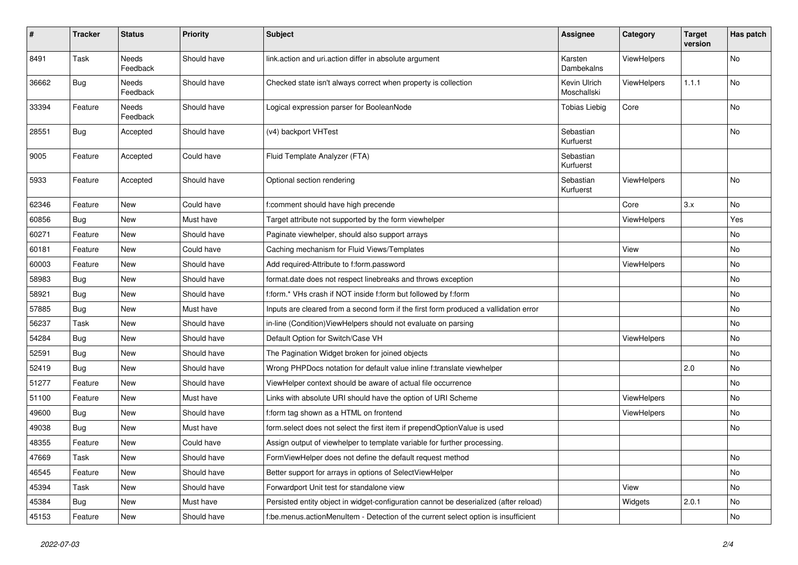| #     | <b>Tracker</b> | <b>Status</b>            | <b>Priority</b> | <b>Subject</b>                                                                        | <b>Assignee</b>             | Category    | <b>Target</b><br>version | Has patch |
|-------|----------------|--------------------------|-----------------|---------------------------------------------------------------------------------------|-----------------------------|-------------|--------------------------|-----------|
| 8491  | Task           | <b>Needs</b><br>Feedback | Should have     | link.action and uri.action differ in absolute argument                                | Karsten<br>Dambekalns       | ViewHelpers |                          | No        |
| 36662 | <b>Bug</b>     | Needs<br>Feedback        | Should have     | Checked state isn't always correct when property is collection                        | Kevin Ulrich<br>Moschallski | ViewHelpers | 1.1.1                    | No        |
| 33394 | Feature        | Needs<br>Feedback        | Should have     | Logical expression parser for BooleanNode                                             | <b>Tobias Liebig</b>        | Core        |                          | No        |
| 28551 | Bug            | Accepted                 | Should have     | (v4) backport VHTest                                                                  | Sebastian<br>Kurfuerst      |             |                          | No        |
| 9005  | Feature        | Accepted                 | Could have      | Fluid Template Analyzer (FTA)                                                         | Sebastian<br>Kurfuerst      |             |                          |           |
| 5933  | Feature        | Accepted                 | Should have     | Optional section rendering                                                            | Sebastian<br>Kurfuerst      | ViewHelpers |                          | No        |
| 62346 | Feature        | New                      | Could have      | f:comment should have high precende                                                   |                             | Core        | 3.x                      | No        |
| 60856 | <b>Bug</b>     | New                      | Must have       | Target attribute not supported by the form viewhelper                                 |                             | ViewHelpers |                          | Yes       |
| 60271 | Feature        | New                      | Should have     | Paginate viewhelper, should also support arrays                                       |                             |             |                          | No        |
| 60181 | Feature        | New                      | Could have      | Caching mechanism for Fluid Views/Templates                                           |                             | View        |                          | No        |
| 60003 | Feature        | New                      | Should have     | Add required-Attribute to f:form.password                                             |                             | ViewHelpers |                          | No        |
| 58983 | <b>Bug</b>     | New                      | Should have     | format.date does not respect linebreaks and throws exception                          |                             |             |                          | No        |
| 58921 | Bug            | New                      | Should have     | f:form.* VHs crash if NOT inside f:form but followed by f:form                        |                             |             |                          | No        |
| 57885 | Bug            | New                      | Must have       | Inputs are cleared from a second form if the first form produced a vallidation error  |                             |             |                          | No        |
| 56237 | Task           | New                      | Should have     | in-line (Condition) View Helpers should not evaluate on parsing                       |                             |             |                          | No        |
| 54284 | Bug            | New                      | Should have     | Default Option for Switch/Case VH                                                     |                             | ViewHelpers |                          | No        |
| 52591 | Bug            | New                      | Should have     | The Pagination Widget broken for joined objects                                       |                             |             |                          | No        |
| 52419 | Bug            | New                      | Should have     | Wrong PHPDocs notation for default value inline f:translate viewhelper                |                             |             | 2.0                      | No        |
| 51277 | Feature        | New                      | Should have     | ViewHelper context should be aware of actual file occurrence                          |                             |             |                          | No        |
| 51100 | Feature        | New                      | Must have       | Links with absolute URI should have the option of URI Scheme                          |                             | ViewHelpers |                          | No        |
| 49600 | Bug            | New                      | Should have     | f:form tag shown as a HTML on frontend                                                |                             | ViewHelpers |                          | No        |
| 49038 | Bug            | New                      | Must have       | form.select does not select the first item if prependOptionValue is used              |                             |             |                          | No        |
| 48355 | Feature        | New                      | Could have      | Assign output of viewhelper to template variable for further processing.              |                             |             |                          |           |
| 47669 | Task           | New                      | Should have     | FormViewHelper does not define the default request method                             |                             |             |                          | No        |
| 46545 | Feature        | New                      | Should have     | Better support for arrays in options of SelectViewHelper                              |                             |             |                          | No        |
| 45394 | Task           | New                      | Should have     | Forwardport Unit test for standalone view                                             |                             | View        |                          | No        |
| 45384 | <b>Bug</b>     | New                      | Must have       | Persisted entity object in widget-configuration cannot be deserialized (after reload) |                             | Widgets     | 2.0.1                    | No        |
| 45153 | Feature        | New                      | Should have     | f:be.menus.actionMenuItem - Detection of the current select option is insufficient    |                             |             |                          | No        |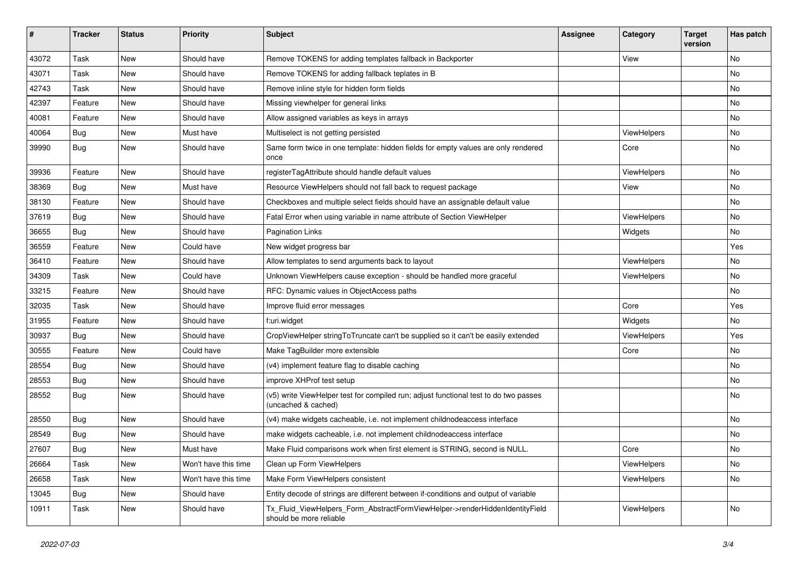| #     | <b>Tracker</b> | <b>Status</b> | <b>Priority</b>      | Subject                                                                                                     | <b>Assignee</b> | Category    | <b>Target</b><br>version | Has patch |
|-------|----------------|---------------|----------------------|-------------------------------------------------------------------------------------------------------------|-----------------|-------------|--------------------------|-----------|
| 43072 | Task           | New           | Should have          | Remove TOKENS for adding templates fallback in Backporter                                                   |                 | View        |                          | No        |
| 43071 | Task           | New           | Should have          | Remove TOKENS for adding fallback teplates in B                                                             |                 |             |                          | No        |
| 42743 | Task           | New           | Should have          | Remove inline style for hidden form fields                                                                  |                 |             |                          | No        |
| 42397 | Feature        | New           | Should have          | Missing viewhelper for general links                                                                        |                 |             |                          | No        |
| 40081 | Feature        | New           | Should have          | Allow assigned variables as keys in arrays                                                                  |                 |             |                          | No        |
| 40064 | Bug            | New           | Must have            | Multiselect is not getting persisted                                                                        |                 | ViewHelpers |                          | No        |
| 39990 | Bug            | New           | Should have          | Same form twice in one template: hidden fields for empty values are only rendered<br>once                   |                 | Core        |                          | No        |
| 39936 | Feature        | <b>New</b>    | Should have          | registerTagAttribute should handle default values                                                           |                 | ViewHelpers |                          | No        |
| 38369 | Bug            | New           | Must have            | Resource ViewHelpers should not fall back to request package                                                |                 | View        |                          | No        |
| 38130 | Feature        | New           | Should have          | Checkboxes and multiple select fields should have an assignable default value                               |                 |             |                          | No        |
| 37619 | Bug            | New           | Should have          | Fatal Error when using variable in name attribute of Section ViewHelper                                     |                 | ViewHelpers |                          | No        |
| 36655 | Bug            | New           | Should have          | <b>Pagination Links</b>                                                                                     |                 | Widgets     |                          | No        |
| 36559 | Feature        | New           | Could have           | New widget progress bar                                                                                     |                 |             |                          | Yes       |
| 36410 | Feature        | New           | Should have          | Allow templates to send arguments back to layout                                                            |                 | ViewHelpers |                          | No        |
| 34309 | Task           | New           | Could have           | Unknown ViewHelpers cause exception - should be handled more graceful                                       |                 | ViewHelpers |                          | No        |
| 33215 | Feature        | New           | Should have          | RFC: Dynamic values in ObjectAccess paths                                                                   |                 |             |                          | No        |
| 32035 | Task           | New           | Should have          | Improve fluid error messages                                                                                |                 | Core        |                          | Yes       |
| 31955 | Feature        | <b>New</b>    | Should have          | f:uri.widget                                                                                                |                 | Widgets     |                          | No.       |
| 30937 | Bug            | New           | Should have          | CropViewHelper stringToTruncate can't be supplied so it can't be easily extended                            |                 | ViewHelpers |                          | Yes       |
| 30555 | Feature        | New           | Could have           | Make TagBuilder more extensible                                                                             |                 | Core        |                          | No        |
| 28554 | Bug            | New           | Should have          | (v4) implement feature flag to disable caching                                                              |                 |             |                          | No        |
| 28553 | Bug            | New           | Should have          | improve XHProf test setup                                                                                   |                 |             |                          | No        |
| 28552 | Bug            | New           | Should have          | (v5) write ViewHelper test for compiled run; adjust functional test to do two passes<br>(uncached & cached) |                 |             |                          | No        |
| 28550 | Bug            | New           | Should have          | (v4) make widgets cacheable, i.e. not implement childnodeaccess interface                                   |                 |             |                          | No        |
| 28549 | <b>Bug</b>     | New           | Should have          | make widgets cacheable, i.e. not implement childnodeaccess interface                                        |                 |             |                          | No        |
| 27607 | Bug            | New           | Must have            | Make Fluid comparisons work when first element is STRING, second is NULL.                                   |                 | Core        |                          | No        |
| 26664 | Task           | New           | Won't have this time | Clean up Form ViewHelpers                                                                                   |                 | ViewHelpers |                          | No        |
| 26658 | Task           | New           | Won't have this time | Make Form ViewHelpers consistent                                                                            |                 | ViewHelpers |                          | No        |
| 13045 | Bug            | New           | Should have          | Entity decode of strings are different between if-conditions and output of variable                         |                 |             |                          |           |
| 10911 | Task           | New           | Should have          | Tx_Fluid_ViewHelpers_Form_AbstractFormViewHelper->renderHiddenIdentityField<br>should be more reliable      |                 | ViewHelpers |                          | No        |